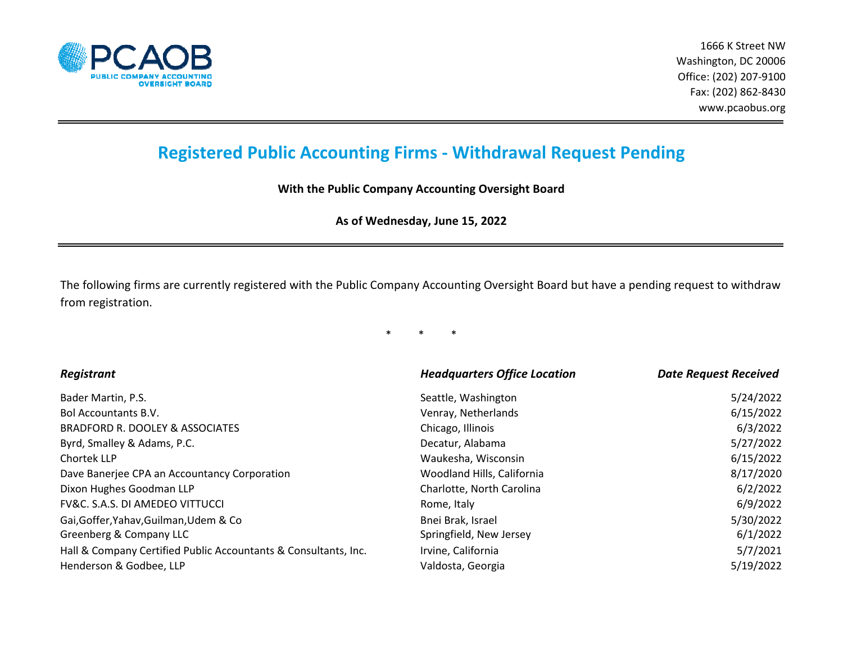

## **Registered Public Accounting Firms ‐ Withdrawal Request Pending**

**With the Public Company Accounting Oversight Board**

**As of Wednesday, June 15, 2022**

The following firms are currently registered with the Public Company Accounting Oversight Board but have a pending request to withdraw from registration.

\* \* \*

| Registrant                                                      | <b>Headquarters Office Location</b> | <b>Date Request Received</b> |
|-----------------------------------------------------------------|-------------------------------------|------------------------------|
| Bader Martin, P.S.                                              | Seattle, Washington                 | 5/24/2022                    |
| <b>Bol Accountants B.V.</b>                                     | Venray, Netherlands                 | 6/15/2022                    |
| BRADFORD R. DOOLEY & ASSOCIATES                                 | Chicago, Illinois                   | 6/3/2022                     |
| Byrd, Smalley & Adams, P.C.                                     | Decatur, Alabama                    | 5/27/2022                    |
| Chortek LLP                                                     | Waukesha, Wisconsin                 | 6/15/2022                    |
| Dave Banerjee CPA an Accountancy Corporation                    | Woodland Hills, California          | 8/17/2020                    |
| Dixon Hughes Goodman LLP                                        | Charlotte, North Carolina           | 6/2/2022                     |
| <b>FV&amp;C. S.A.S. DI AMEDEO VITTUCCI</b>                      | Rome, Italy                         | 6/9/2022                     |
| Gai, Goffer, Yahav, Guilman, Udem & Co                          | Bnei Brak, Israel                   | 5/30/2022                    |
| Greenberg & Company LLC                                         | Springfield, New Jersey             | 6/1/2022                     |
| Hall & Company Certified Public Accountants & Consultants, Inc. | Irvine, California                  | 5/7/2021                     |
| Henderson & Godbee, LLP                                         | Valdosta, Georgia                   | 5/19/2022                    |